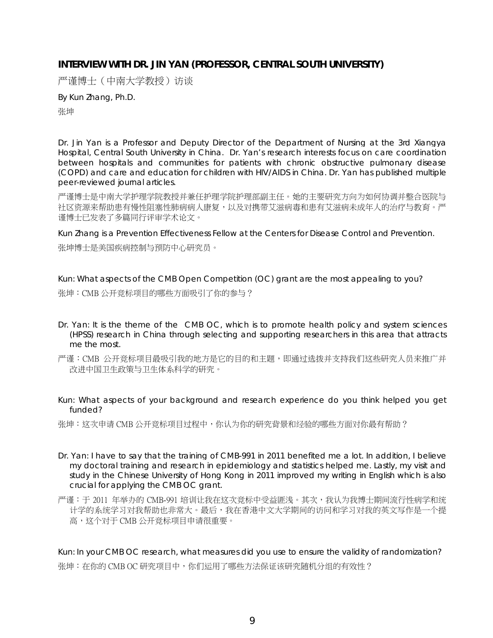## **INTERVIEW WITH DR. JIN YAN (PROFESSOR, CENTRAL SOUTH UNIVERSITY)**

严谨博士(中南大学教授)访谈

By *Kun Zhang, Ph.D.*  张坤

Dr. Jin Yan is a Professor and Deputy Director of the Department of Nursing at the 3rd Xiangya Hospital, Central South University in China. Dr. Yan's research interests focus on care coordination between hospitals and communities for patients with chronic obstructive pulmonary disease (COPD) and care and education for children with HIV/AIDS in China. Dr. Yan has published multiple peer-reviewed journal articles.

严谨博士是中南大学护理学院教授并兼任护理学院护理部副主任。她的主要研究方向为如何协调并整合医院与 社区资源来帮助患有慢性阻塞性肺病病人康复,以及对携带艾滋病毒和患有艾滋病未成年人的治疗与教育。严 谨博士已发表了多篇同行评审学术论文。

Kun Zhang is a Prevention Effectiveness Fellow at the Centers for Disease Control and Prevention. 张坤博士是美国疾病控制与预防中心研究员。

Kun: What aspects of the CMB Open Competition (OC) grant are the most appealing to you? 张坤:CMB 公开竞标项目的哪些方面吸引了你的参与?

- Dr. Yan: It is the theme of the CMB OC, which is to promote health policy and system sciences (HPSS) research in China through selecting and supporting researchers in this area that attracts me the most.
- 严谨:CMB 公开竞标项目最吸引我的地方是它的目的和主题,即通过选拨并支持我们这些研究人员来推广并 改进中国卫生政策与卫生体系科学的研究。
- Kun: What aspects of your background and research experience do you think helped you get funded?

张坤:这次申请 CMB 公开竞标项目过程中,你认为你的研究背景和经验的哪些方面对你最有帮助?

- Dr. Yan: I have to say that the training of CMB-991 in 2011 benefited me a lot. In addition, I believe my doctoral training and research in epidemiology and statistics helped me. Lastly, my visit and study in the Chinese University of Hong Kong in 2011 improved my writing in English which is also crucial for applying the CMB OC grant.
- 严谨:于 2011 年举办的 CMB-991 培训让我在这次竞标中受益匪浅。其次,我认为我博士期间流行性病学和统 计学的系统学习对我帮助也非常大。最后,我在香港中文大学期间的访问和学习对我的英文写作是一个提 高,这个对于 CMB 公开竞标项目申请很重要。

Kun: In your CMB OC research, what measures did you use to ensure the validity of randomization? 张坤:在你的 CMB OC 研究项目中,你们运用了哪些方法保证该研究随机分组的有效性?